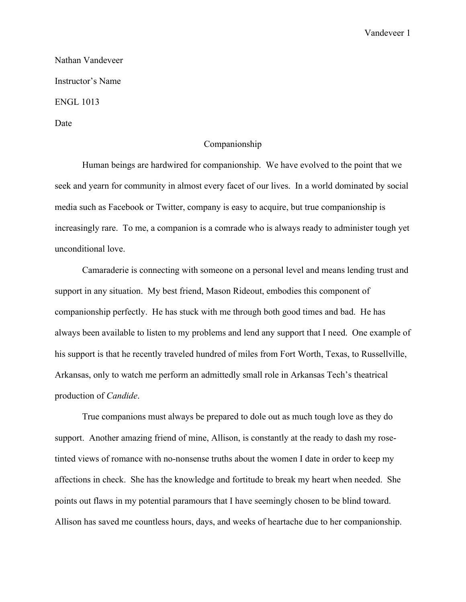Vandeveer 1

Nathan Vandeveer Instructor's Name ENGL 1013 Date

## Companionship

Human beings are hardwired for companionship. We have evolved to the point that we seek and yearn for community in almost every facet of our lives. In a world dominated by social media such as Facebook or Twitter, company is easy to acquire, but true companionship is increasingly rare. To me, a companion is a comrade who is always ready to administer tough yet unconditional love.

Camaraderie is connecting with someone on a personal level and means lending trust and support in any situation. My best friend, Mason Rideout, embodies this component of companionship perfectly. He has stuck with me through both good times and bad. He has always been available to listen to my problems and lend any support that I need. One example of his support is that he recently traveled hundred of miles from Fort Worth, Texas, to Russellville, Arkansas, only to watch me perform an admittedly small role in Arkansas Tech's theatrical production of *Candide*.

True companions must always be prepared to dole out as much tough love as they do support. Another amazing friend of mine, Allison, is constantly at the ready to dash my rosetinted views of romance with no-nonsense truths about the women I date in order to keep my affections in check. She has the knowledge and fortitude to break my heart when needed. She points out flaws in my potential paramours that I have seemingly chosen to be blind toward. Allison has saved me countless hours, days, and weeks of heartache due to her companionship.